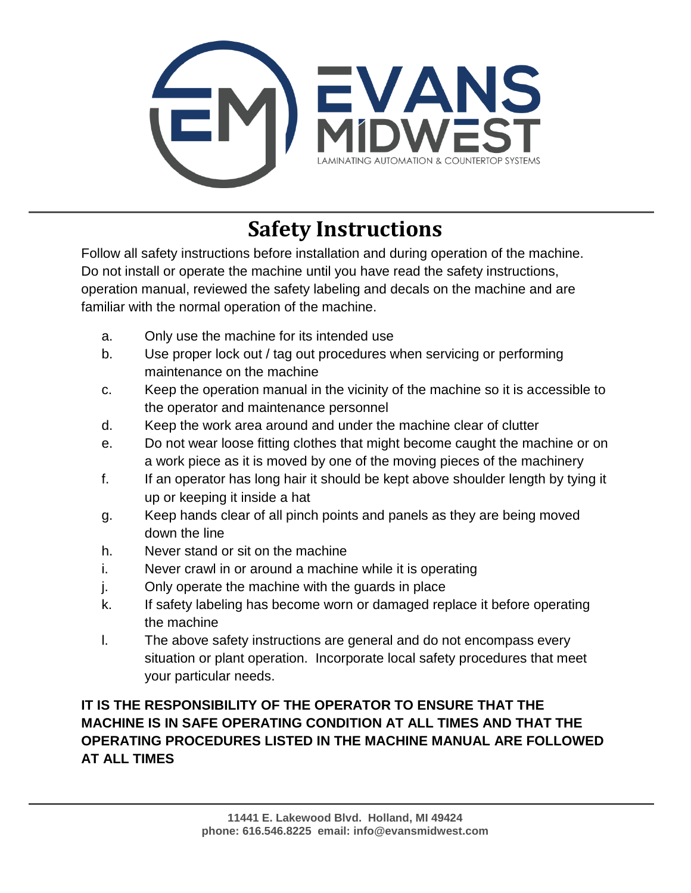

## **Safety Instructions**

Follow all safety instructions before installation and during operation of the machine. Do not install or operate the machine until you have read the safety instructions, operation manual, reviewed the safety labeling and decals on the machine and are familiar with the normal operation of the machine.

- a. Only use the machine for its intended use
- b. Use proper lock out / tag out procedures when servicing or performing maintenance on the machine
- c. Keep the operation manual in the vicinity of the machine so it is accessible to the operator and maintenance personnel
- d. Keep the work area around and under the machine clear of clutter
- e. Do not wear loose fitting clothes that might become caught the machine or on a work piece as it is moved by one of the moving pieces of the machinery
- f. If an operator has long hair it should be kept above shoulder length by tying it up or keeping it inside a hat
- g. Keep hands clear of all pinch points and panels as they are being moved down the line
- h. Never stand or sit on the machine
- i. Never crawl in or around a machine while it is operating
- j. Only operate the machine with the guards in place
- k. If safety labeling has become worn or damaged replace it before operating the machine
- l. The above safety instructions are general and do not encompass every situation or plant operation. Incorporate local safety procedures that meet your particular needs.

## **IT IS THE RESPONSIBILITY OF THE OPERATOR TO ENSURE THAT THE MACHINE IS IN SAFE OPERATING CONDITION AT ALL TIMES AND THAT THE OPERATING PROCEDURES LISTED IN THE MACHINE MANUAL ARE FOLLOWED AT ALL TIMES**